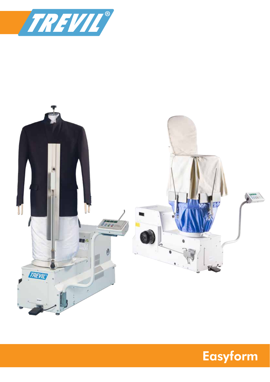



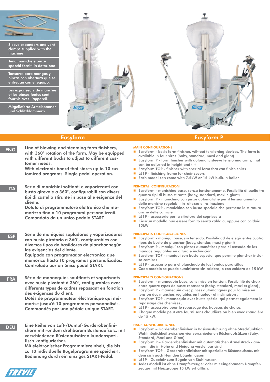

Sleeve expanders and vent clamps supplied with the machine

Tendimaniche e pinze spacchi forniti in dotazione

Tensores para mangas y pinzas con abertura que se entregan con el equipo.

Les expanseurs de manches et les pinces fentes sont fournis avec l'appareil.

Mitgelieferte Ärmelspanner und Schlitzklammern.



ENG Line of blowing and steaming form finishers, MAIN CONFIGURATIONS with 360° rotation of the form. May be equipped with different bucks to adjust to different customer needs.

> With electronic board that stores up to 10 customized programs. Single pedal operation.

ITA Serie di manichini soffianti e vaporizzanti con busto girevole a 360°, configurabili con diversi tipi di castello stirante in base alle esigenze del cliente.

> Dotato di programmatore elettronico che memorizza fino a 10 programmi personalizzati. Comandato da un unico pedale START.

ESP Serie de maniquíes sopladores y vaporizadores con busto giratorio a 360°, configurables con diversos tipos de bastidores de planchar según las exigencias del cliente.

> Equipado con programador electrónico que memoriza hasta 10 programas personalizados. Controlado por un único pedal START.

FRA Série de mannequins soufflants et vaporisants avec buste pivotant à 360°, configurables avec différents types de cadres repassant en fonction des exigences du client.

> Dotés de programmateur électronique qui mémorise jusqu'à 10 programmes personnalisés. Commandés par une pédale unique START.

DEU Eine Reihe von Luft-/Dampf-Garderobenfinishern mit rundum drehbarem Büstenaufsatz, mit verschiedenen Büstenaufsätzen kundenspezifisch konfigurierbar.

> Mit elektronischer Programmiereinheit, die bis zu 10 individuelle Bügelprogramme speichert. Bedienung durch ein einziges START-Pedal.

# Easyform Easyform P

- Easyform basic form finisher, wihtout tensioning devices. The form is available in four sizes (baby, standard, maxi and giant)
- Easyform P form finisher with automatic sleeve tensioning arms, that can be adjusted in height and tilt
- Easyform TOP finisher with special form that can finish shirts
- L519 finishing frame for chair covers
- Each model can come with 7.5kW or 15 kW built-in boiler

### PRINCIPALI CONFIGURAZIONI

- Easyform manichino base, senza tensionamento. Possiblità di scelta tra quattro tipi di busto stirante (baby, standard, maxi e giant)
- Easyform P manichino con pinze automatiche per il tensionamento delle maniche regolabili in altezza e inclinazione
- Easyform TOP manichino con busto speciale che permette la stiratura anche delle camicie
- L519 accessorio per la stiratura dei coprisedia
- Ciascun modello può essere fornito senza caldaia, oppure con caldaia 15kW

### PRINCIPALES CONFIGURACIONES

- Easyform maniquí base, sin tensado. Posibilidad de elegir entre cuatro tipos de busto de planchar (baby, standar, maxi y giant)
- Easyform P maniquí con pinzas automáticas para el tensado de las mangas regulables en altura e inclinación
- Easyform TOP maniquí con busto especial que permite planchar incluso camisas
- L519 accesorio para el planchado de las fundas para sillas
- Cada modelo se puede suministrar sin caldera, o con caldera de 15 kW

## PRINCIPALES CONFIGURATIONS

- Easyform mannequin base, sans mise en tension. Possibilité de choix entre quatre types de buste repassant (baby, standard, maxi et giant) ;
- Easyform P mannequin avec pinces automatiques pour la mise en tension des manches réglables en hauteur et inclinaison ;
- Easyform TOP mannequin avec buste spécial qui permet également le repassage des chemises ;
- L519 accessoire pour le repassage des housses de chaise.
- Chaque modèle peut être fourni sans chaudière ou bien avec chaudière de 15 kW.

## HAUPTKONFIGURATIONEN

- Easyform Garderobenfinisher in Basisausführung ohne Streckfunktion. Wahlmöglichkeit zwischen vier verschiedenen Büstenaufsätzen (Baby, Standard, Maxi und Giant)
- Easyform P Garderobenfinisher mit automatischen Ärmelstreckklammern, die in Höhe und Neigung verstellbar sind
- Easyform TOP Garderobenfinisher mit speziellem Büstenaufsatz, mit dem sich auch Hemden bügeln lassen
- L519 Zubehör zum Bügeln von Stuhlhussen
- Jedes Modell ist ohne Dampferzeuger oder mit eingebautem Dampferzeuger mit Heizgruppe 15 kW erhältlich.

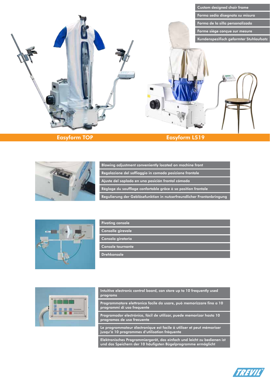

Easyform TOP **Easyform L519** 



| Blowing adjustment conveniently located on machine front              |
|-----------------------------------------------------------------------|
| Regolazione del soffiaggio in comoda posizione frontale               |
| Ajuste del soplado en una posición frontal cómoda                     |
| Réglage du soufflage confortable grâce à sa position frontale         |
| Regulierung der Gebläsefunktion in nutzerfreundlicher Frontanbringung |



| <b>Pivoting console</b> |  |
|-------------------------|--|
|                         |  |
|                         |  |

Consolle girevole

Consola giratoria

Console tournante

Drehkonsole



Intuitive electronic control board, can store up to 10 frequently used programs

Programmatore elettronico facile da usare, può memorizzare fino a 10 programmi di uso frequente

Programador electrónico, fácil de utilizar, puede memorizar hasta 10 programas de uso frecuente

Le programmateur électronique est facile à utiliser et peut mémoriser jusqu'à 10 programmes d'utilisation fréquente

Elektronisches Programmiergerät, das einfach und leicht zu bedienen ist und das Speichern der 10 häufigsten Bügelprogramme ermöglicht